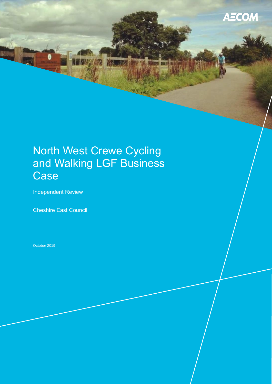# North West Crewe Cycling and Walking LGF Business **Case**

Independent Review

Cheshire East Council

October 2019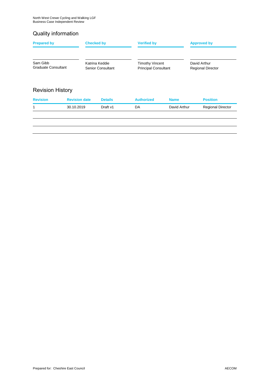### Quality information

| David Arthur<br>Katrina Keddie<br><b>Timothy Vincent</b><br>Sam Gibb<br>Graduate Consultant<br><b>Principal Consultant</b><br><b>Senior Consultant</b><br><b>Revision date</b><br><b>Revision</b><br><b>Authorized</b><br><b>Position</b><br><b>Details</b><br><b>Name</b> |                          |  |  |
|----------------------------------------------------------------------------------------------------------------------------------------------------------------------------------------------------------------------------------------------------------------------------|--------------------------|--|--|
| <b>Revision History</b>                                                                                                                                                                                                                                                    | <b>Regional Director</b> |  |  |
|                                                                                                                                                                                                                                                                            |                          |  |  |
|                                                                                                                                                                                                                                                                            |                          |  |  |
| David Arthur<br>$\mathbf{1}$<br>Draft v1<br>DA<br>30.10.2019                                                                                                                                                                                                               | <b>Regional Director</b> |  |  |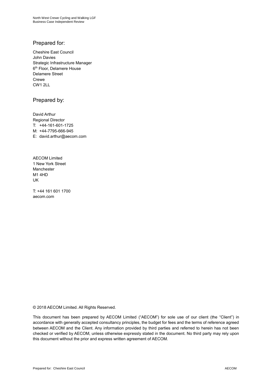### Prepared for:

Cheshire East Council John Davies Strategic Infrastructure Manager 6 th Floor, Delamere House Delamere Street Crewe CW1 2LL

### Prepared by:

David Arthur Regional Director T: +44-161-601-1725 M: +44-7795-666-945 E: david.arthur@aecom.com

AECOM Limited 1 New York Street Manchester M1 4HD UK

T: +44 161 601 1700 aecom.com

© 2018 AECOM Limited. All Rights Reserved.

This document has been prepared by AECOM Limited ("AECOM") for sole use of our client (the "Client") in accordance with generally accepted consultancy principles, the budget for fees and the terms of reference agreed between AECOM and the Client. Any information provided by third parties and referred to herein has not been checked or verified by AECOM, unless otherwise expressly stated in the document. No third party may rely upon this document without the prior and express written agreement of AECOM.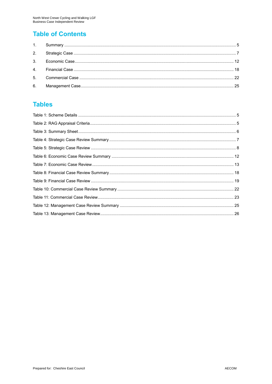## **Table of Contents**

### **Tables**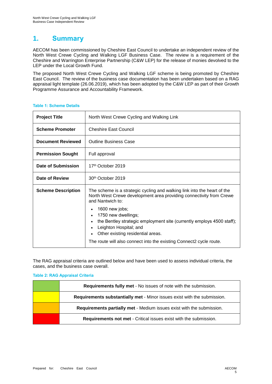### **1. Summary**

AECOM has been commissioned by Cheshire East Council to undertake an independent review of the North West Crewe Cycling and Walking LGF Business Case. The review is a requirement of the Cheshire and Warrington Enterprise Partnership (C&W LEP) for the release of monies devolved to the LEP under the Local Growth Fund.

The proposed North West Crewe Cycling and Walking LGF scheme is being promoted by Cheshire East Council. The review of the business case documentation has been undertaken based on a RAG appraisal light template (26.06.2019), which has been adopted by the C&W LEP as part of their Growth Programme Assurance and Accountability Framework.

| <b>Project Title</b>      | North West Crewe Cycling and Walking Link                                                                                                                                                                                                                                                                                    |  |  |  |
|---------------------------|------------------------------------------------------------------------------------------------------------------------------------------------------------------------------------------------------------------------------------------------------------------------------------------------------------------------------|--|--|--|
| <b>Scheme Promoter</b>    | <b>Cheshire East Council</b>                                                                                                                                                                                                                                                                                                 |  |  |  |
| <b>Document Reviewed</b>  | <b>Outline Business Case</b>                                                                                                                                                                                                                                                                                                 |  |  |  |
| <b>Permission Sought</b>  | Full approval                                                                                                                                                                                                                                                                                                                |  |  |  |
| Date of Submission        | 17 <sup>th</sup> October 2019                                                                                                                                                                                                                                                                                                |  |  |  |
| Date of Review            | 30 <sup>th</sup> October 2019                                                                                                                                                                                                                                                                                                |  |  |  |
| <b>Scheme Description</b> | The scheme is a strategic cycling and walking link into the heart of the<br>North West Crewe development area providing connectivity from Crewe<br>and Nantwich to:<br>1600 new jobs;<br>$\bullet$<br>1750 new dwellings;<br>$\bullet$<br>the Bentley strategic employment site (currently employs 4500 staff);<br>$\bullet$ |  |  |  |
|                           | Leighton Hospital; and<br>$\bullet$<br>Other existing residential areas.<br>The route will also connect into the existing Connect2 cycle route.                                                                                                                                                                              |  |  |  |

#### **Table 1: Scheme Details**

The RAG appraisal criteria are outlined below and have been used to assess individual criteria, the cases, and the business case overall.

#### **Table 2: RAG Appraisal Criteria**

| Requirements fully met - No issues of note with the submission.          |
|--------------------------------------------------------------------------|
| Requirements substantially met - Minor issues exist with the submission. |
| Requirements partially met - Medium issues exist with the submission.    |
| <b>Requirements not met - Critical issues exist with the submission.</b> |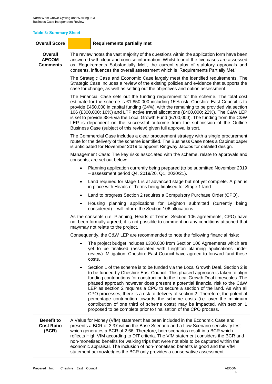### **Table 3: Summary Sheet**

| <b>Overall Score</b>                            | <b>Requirements partially met</b>                                                                                                                                                                                                                                                                                                                                                                                                                                                                                                                                                                                                                                                                                                                 |                                                                                                                                                                                                                                                                                                                                                                                                                                                                                                                                                                                                      |  |  |  |  |  |
|-------------------------------------------------|---------------------------------------------------------------------------------------------------------------------------------------------------------------------------------------------------------------------------------------------------------------------------------------------------------------------------------------------------------------------------------------------------------------------------------------------------------------------------------------------------------------------------------------------------------------------------------------------------------------------------------------------------------------------------------------------------------------------------------------------------|------------------------------------------------------------------------------------------------------------------------------------------------------------------------------------------------------------------------------------------------------------------------------------------------------------------------------------------------------------------------------------------------------------------------------------------------------------------------------------------------------------------------------------------------------------------------------------------------------|--|--|--|--|--|
| Overall<br><b>AECOM</b><br><b>Comments</b>      |                                                                                                                                                                                                                                                                                                                                                                                                                                                                                                                                                                                                                                                                                                                                                   | The review notes the vast majority of the questions within the application form have been<br>answered with clear and concise information. Whilst four of the five cases are assessed<br>as 'Requirements Substantially Met', the current status of statutory approvals and<br>consents, influences the overall assessment which is 'Requirements Partially Met.'                                                                                                                                                                                                                                     |  |  |  |  |  |
|                                                 | The Strategic Case and Economic Case largely meet the identified requirements. The<br>Strategic Case includes a review of the existing policies and evidence that supports the<br>case for change, as well as setting out the objectives and option assessment.                                                                                                                                                                                                                                                                                                                                                                                                                                                                                   |                                                                                                                                                                                                                                                                                                                                                                                                                                                                                                                                                                                                      |  |  |  |  |  |
|                                                 | The Financial Case sets out the funding requirement for the scheme. The total cost<br>estimate for the scheme is £1,850,000 including 15% risk. Cheshire East Council is to<br>provide £450,000 in capital funding (24%), with the remaining to be provided via section<br>106 (£300,000; 16%) and LTP active travel allocations (£400,000; 22%). The C&W LEP<br>is set to provide 38% via the Local Growth Fund (£700,000). The funding from the C&W<br>LEP is dependent on the successful outcome from the submission of the Outline<br>Business Case (subject of this review) given full approval is sort.                                                                                                                                     |                                                                                                                                                                                                                                                                                                                                                                                                                                                                                                                                                                                                      |  |  |  |  |  |
|                                                 | The Commercial Case includes a clear procurement strategy with a single procurement<br>route for the delivery of the scheme identified. The Business Case notes a Cabinet paper<br>is anticipated for November 2019 to appoint Ringway Jacobs for detailed design.<br>Management Case: The key risks associated with the scheme, relate to approvals and<br>consents, are set out below:                                                                                                                                                                                                                                                                                                                                                          |                                                                                                                                                                                                                                                                                                                                                                                                                                                                                                                                                                                                      |  |  |  |  |  |
|                                                 |                                                                                                                                                                                                                                                                                                                                                                                                                                                                                                                                                                                                                                                                                                                                                   |                                                                                                                                                                                                                                                                                                                                                                                                                                                                                                                                                                                                      |  |  |  |  |  |
|                                                 |                                                                                                                                                                                                                                                                                                                                                                                                                                                                                                                                                                                                                                                                                                                                                   | Planning application currently being prepared (to be submitted November 2019<br>$-$ assessment period Q4, 2019/20, Q1, 2020/21).                                                                                                                                                                                                                                                                                                                                                                                                                                                                     |  |  |  |  |  |
|                                                 | Land required for stage 1 is at advanced stage but not yet complete. A plan is<br>$\bullet$<br>in place with Heads of Terms being finalised for Stage 1 land.                                                                                                                                                                                                                                                                                                                                                                                                                                                                                                                                                                                     |                                                                                                                                                                                                                                                                                                                                                                                                                                                                                                                                                                                                      |  |  |  |  |  |
|                                                 |                                                                                                                                                                                                                                                                                                                                                                                                                                                                                                                                                                                                                                                                                                                                                   | Land to progress Section 2 requires a Compulsory Purchase Order (CPO).                                                                                                                                                                                                                                                                                                                                                                                                                                                                                                                               |  |  |  |  |  |
|                                                 | $\bullet$                                                                                                                                                                                                                                                                                                                                                                                                                                                                                                                                                                                                                                                                                                                                         | Housing planning applications for Leighton submitted (currently being<br>considered) - will inform the Section 106 allocations.                                                                                                                                                                                                                                                                                                                                                                                                                                                                      |  |  |  |  |  |
|                                                 | As the consents (i.e. Planning, Heads of Terms, Section 106 agreements, CPO) have<br>not been formally agreed, it is not possible to comment on any conditions attached that<br>may/may not relate to the project.                                                                                                                                                                                                                                                                                                                                                                                                                                                                                                                                |                                                                                                                                                                                                                                                                                                                                                                                                                                                                                                                                                                                                      |  |  |  |  |  |
|                                                 |                                                                                                                                                                                                                                                                                                                                                                                                                                                                                                                                                                                                                                                                                                                                                   | Consequently, the C&W LEP are recommended to note the following financial risks:                                                                                                                                                                                                                                                                                                                                                                                                                                                                                                                     |  |  |  |  |  |
|                                                 |                                                                                                                                                                                                                                                                                                                                                                                                                                                                                                                                                                                                                                                                                                                                                   | The project budget includes £300,000 from Section 106 Agreements which are<br>yet to be finalised (associated with Leighton planning applications under<br>review). Mitigation: Cheshire East Council have agreed to forward fund these<br>costs.                                                                                                                                                                                                                                                                                                                                                    |  |  |  |  |  |
|                                                 | Section 1 of the scheme is to be funded via the Local Growth Deal. Section 2 is<br>$\bullet$<br>to be funded by Cheshire East Council. This phased approach is taken to align<br>funding contributions for construction to the Local Growth Deal timescales. The<br>phased approach however does present a potential financial risk to the C&W<br>LEP as section 2 requires a CPO to secure a section of the land. As with all<br>CPO processes, there is a risk to delivery of section 2. Therefore, the potential<br>percentage contribution towards the scheme costs (i.e. over the minimum<br>contribution of one third of scheme costs) may be impacted, with section 1<br>proposed to be complete prior to finalisation of the CPO process. |                                                                                                                                                                                                                                                                                                                                                                                                                                                                                                                                                                                                      |  |  |  |  |  |
| <b>Benefit to</b><br><b>Cost Ratio</b><br>(BCR) |                                                                                                                                                                                                                                                                                                                                                                                                                                                                                                                                                                                                                                                                                                                                                   | A Value for Money (VfM) statement has been included in the Economic Case and<br>presents a BCR of 3.37 within the Base Scenario and a Low Scenario sensitivity test<br>which generates a BCR of 2.66. Therefore, both scenarios result in a BCR which<br>reflects High VfM according to DfT criteria. The VfM statement considers the BCR and<br>non-monetised benefits for walking trips that were not able to be captured within the<br>economic appraisal. The inclusion of non-monetised benefits is good and the VfM<br>statement acknowledges the BCR only provides a conservative assessment. |  |  |  |  |  |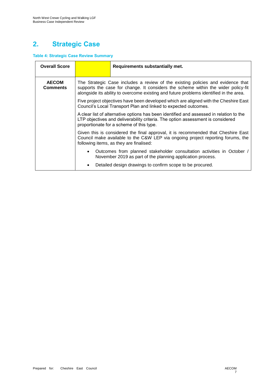# **2. Strategic Case**

### **Table 4: Strategic Case Review Summary**

| <b>Overall Score</b>            |                                                                                                                                                                                                                                                                                                                                                                                                                                                                                                                                                                                                                                                                                                                                                                                                                                                                        | Requirements substantially met.                                                                                                      |  |
|---------------------------------|------------------------------------------------------------------------------------------------------------------------------------------------------------------------------------------------------------------------------------------------------------------------------------------------------------------------------------------------------------------------------------------------------------------------------------------------------------------------------------------------------------------------------------------------------------------------------------------------------------------------------------------------------------------------------------------------------------------------------------------------------------------------------------------------------------------------------------------------------------------------|--------------------------------------------------------------------------------------------------------------------------------------|--|
| <b>AECOM</b><br><b>Comments</b> | The Strategic Case includes a review of the existing policies and evidence that<br>supports the case for change. It considers the scheme within the wider policy-fit<br>alongside its ability to overcome existing and future problems identified in the area.<br>Five project objectives have been developed which are aligned with the Cheshire East<br>Council's Local Transport Plan and linked to expected outcomes.<br>A clear list of alternative options has been identified and assessed in relation to the<br>LTP objectives and deliverability criteria. The option assessment is considered<br>proportionate for a scheme of this type.<br>Given this is considered the final approval, it is recommended that Cheshire East<br>Council make available to the C&W LEP via ongoing project reporting forums, the<br>following items, as they are finalised: |                                                                                                                                      |  |
|                                 |                                                                                                                                                                                                                                                                                                                                                                                                                                                                                                                                                                                                                                                                                                                                                                                                                                                                        |                                                                                                                                      |  |
|                                 |                                                                                                                                                                                                                                                                                                                                                                                                                                                                                                                                                                                                                                                                                                                                                                                                                                                                        |                                                                                                                                      |  |
|                                 |                                                                                                                                                                                                                                                                                                                                                                                                                                                                                                                                                                                                                                                                                                                                                                                                                                                                        |                                                                                                                                      |  |
|                                 |                                                                                                                                                                                                                                                                                                                                                                                                                                                                                                                                                                                                                                                                                                                                                                                                                                                                        | Outcomes from planned stakeholder consultation activities in October /<br>November 2019 as part of the planning application process. |  |
|                                 |                                                                                                                                                                                                                                                                                                                                                                                                                                                                                                                                                                                                                                                                                                                                                                                                                                                                        | Detailed design drawings to confirm scope to be procured.                                                                            |  |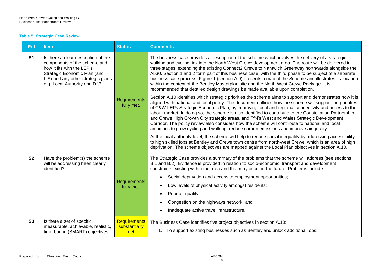#### **Table 5: Strategic Case Review**

| <b>Ref</b>     | <b>Item</b>                                                                                                                                                                                              | <b>Status</b>                         | <b>Comments</b>                                                                                                                                                                                                                                                                                                                                                                                                                                                                                                                                                                                                                                                                                                                                                                                                                                                                                                                                                                                                                                                                                                                                             |
|----------------|----------------------------------------------------------------------------------------------------------------------------------------------------------------------------------------------------------|---------------------------------------|-------------------------------------------------------------------------------------------------------------------------------------------------------------------------------------------------------------------------------------------------------------------------------------------------------------------------------------------------------------------------------------------------------------------------------------------------------------------------------------------------------------------------------------------------------------------------------------------------------------------------------------------------------------------------------------------------------------------------------------------------------------------------------------------------------------------------------------------------------------------------------------------------------------------------------------------------------------------------------------------------------------------------------------------------------------------------------------------------------------------------------------------------------------|
| S <sub>1</sub> | Is there a clear description of the<br>components of the scheme and<br>how it fits with the LEP's<br>Strategic Economic Plan (and<br>LIS) and any other strategic plans<br>e.g. Local Authority and Dft? | Requirements<br>fully met.            | The business case provides a description of the scheme which involves the delivery of a strategic<br>walking and cycling link into the North West Crewe development area. The route will be delivered in<br>three stages, extending the existing Connect2 Crewe to Nantwich Greenway northwards alongside the<br>A530. Section 1 and 2 form part of this business case, with the third phase to be subject of a separate<br>business case process. Figure 1 (section A.9) presents a map of the Scheme and illustrates its location<br>within the context of the Bentley Masterplan site and the North West Crewe Package. It is<br>recommended that detailed design drawings be made available upon completion.<br>Section A.10 identifies which strategic priorities the scheme aims to support and demonstrates how it is<br>aligned with national and local policy. The document outlines how the scheme will support the priorities<br>of C&W LEPs Strategic Economic Plan, by improving local and regional connectivity and access to the<br>labour market. In doing so, the scheme is also identified to contribute to the Constellation Partnership |
|                |                                                                                                                                                                                                          |                                       | and Crewe High Growth City strategic areas, and TfN's West and Wales Strategic Development<br>Corridor. The policy review also considers how the scheme will contribute to national and local<br>ambitions to grow cycling and walking, reduce carbon emissions and improve air quality.<br>At the local authority level, the scheme will help to reduce social inequality by addressing accessibility                                                                                                                                                                                                                                                                                                                                                                                                                                                                                                                                                                                                                                                                                                                                                      |
|                |                                                                                                                                                                                                          |                                       | to high skilled jobs at Bentley and Crewe town centre from north-west Crewe, which is an area of high<br>deprivation. The scheme objectives are mapped against the Local Plan objectives in section A.10.                                                                                                                                                                                                                                                                                                                                                                                                                                                                                                                                                                                                                                                                                                                                                                                                                                                                                                                                                   |
| <b>S2</b>      | Have the problem(s) the scheme<br>will be addressing been clearly<br>identified?                                                                                                                         |                                       | The Strategic Case provides a summary of the problems that the scheme will address (see sections<br>B.1 and B.2). Evidence is provided in relation to socio-economic, transport and development<br>constraints existing within the area and that may occur in the future. Problems include:<br>Social deprivation and access to employment opportunities;<br>$\bullet$                                                                                                                                                                                                                                                                                                                                                                                                                                                                                                                                                                                                                                                                                                                                                                                      |
|                |                                                                                                                                                                                                          | <b>Requirements</b><br>fully met.     | Low levels of physical activity amongst residents;                                                                                                                                                                                                                                                                                                                                                                                                                                                                                                                                                                                                                                                                                                                                                                                                                                                                                                                                                                                                                                                                                                          |
|                |                                                                                                                                                                                                          |                                       | Poor air quality;<br>$\bullet$                                                                                                                                                                                                                                                                                                                                                                                                                                                                                                                                                                                                                                                                                                                                                                                                                                                                                                                                                                                                                                                                                                                              |
|                |                                                                                                                                                                                                          |                                       | Congestion on the highways network; and                                                                                                                                                                                                                                                                                                                                                                                                                                                                                                                                                                                                                                                                                                                                                                                                                                                                                                                                                                                                                                                                                                                     |
|                |                                                                                                                                                                                                          |                                       | Inadequate active travel infrastructure.<br>$\bullet$                                                                                                                                                                                                                                                                                                                                                                                                                                                                                                                                                                                                                                                                                                                                                                                                                                                                                                                                                                                                                                                                                                       |
| S3             | Is there a set of specific,<br>measurable, achievable, realistic,<br>time-bound (SMART) objectives                                                                                                       | Requirements<br>substantially<br>met. | The Business Case identifies five project objectives in section A.10:<br>1. To support existing businesses such as Bentley and unlock additional jobs;                                                                                                                                                                                                                                                                                                                                                                                                                                                                                                                                                                                                                                                                                                                                                                                                                                                                                                                                                                                                      |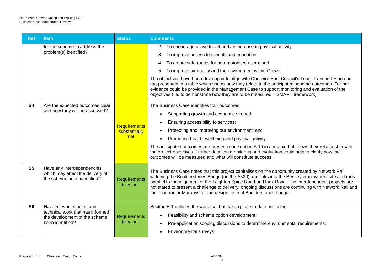| <b>Ref</b>     | <b>Item</b>                                                                                                        | <b>Status</b>                                | <b>Comments</b>                                                                                                                                                                                                                                                                                                                                                                                                                                                                                                                                                                                                                               |
|----------------|--------------------------------------------------------------------------------------------------------------------|----------------------------------------------|-----------------------------------------------------------------------------------------------------------------------------------------------------------------------------------------------------------------------------------------------------------------------------------------------------------------------------------------------------------------------------------------------------------------------------------------------------------------------------------------------------------------------------------------------------------------------------------------------------------------------------------------------|
|                | for the scheme to address the<br>problem(s) identified?                                                            |                                              | 2. To encourage active travel and an increase in physical activity;<br>To improve access to schools and education;<br>3.<br>4. To create safe routes for non-motorised users; and<br>5. To improve air quality and the environment within Crewe.<br>The objectives have been developed to align with Cheshire East Council's Local Transport Plan and<br>are presented in a table which shows how they relate to the anticipated scheme outcomes. Further<br>evidence could be provided in the Management Case to support monitoring and evaluation of the<br>objectives (i.e. to demonstrate how they are to be measured - SMART framework). |
| <b>S4</b>      | Are the expected outcomes clear<br>and how they will be assessed?                                                  | <b>Requirements</b><br>substantially<br>met. | The Business Case identifies four outcomes:<br>Supporting growth and economic strength;<br>$\bullet$<br>Ensuring accessibility to services;<br>$\bullet$<br>Protecting and improving our environment; and<br>Promoting health, wellbeing and physical activity.<br>$\bullet$<br>The anticipated outcomes are presented in section A.10 in a matrix that shows their relationship with<br>the project objectives. Further detail on monitoring and evaluation could help to clarify how the<br>outcomes will be measured and what will constitute success.                                                                                     |
| S <sub>5</sub> | Have any interdependencies<br>which may affect the delivery of<br>the scheme been identified?                      | Requirements<br>fully met.                   | The Business Case notes that this project capitalises on the opportunity created by Network Rail<br>widening the Boulderstones Bridge (on the A530) and links into the Bentley employment site and runs<br>parallel to the alignment of the Leighton Spine Road and Link Road. The interdependent projects are<br>not stated to present a challenge to delivery; ongoing discussions are continuing with Network Rail and<br>their contractor Murphys for the design tie in at Boulderstones bridge.                                                                                                                                          |
| S <sub>6</sub> | Have relevant studies and<br>technical work that has informed<br>the development of the scheme<br>been identified? | <b>Requirements</b><br>fully met.            | Section E.1 outlines the work that has taken place to date, including:<br>Feasibility and scheme option development;<br>$\bullet$<br>Pre-application scoping discussions to determine environmental requirements;<br>Environmental surveys;                                                                                                                                                                                                                                                                                                                                                                                                   |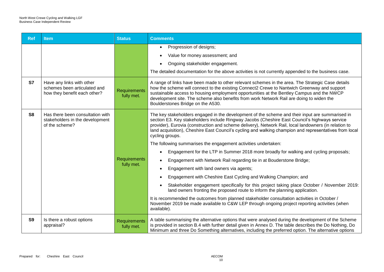| <b>Ref</b>     | <b>Item</b>                                                                               | <b>Status</b>                     | <b>Comments</b>                                                                                                                                                                                                                                                                                                                                                                                                                        |
|----------------|-------------------------------------------------------------------------------------------|-----------------------------------|----------------------------------------------------------------------------------------------------------------------------------------------------------------------------------------------------------------------------------------------------------------------------------------------------------------------------------------------------------------------------------------------------------------------------------------|
|                |                                                                                           |                                   | Progression of designs;<br>$\bullet$<br>Value for money assessment; and                                                                                                                                                                                                                                                                                                                                                                |
|                |                                                                                           |                                   | Ongoing stakeholder engagement.                                                                                                                                                                                                                                                                                                                                                                                                        |
|                |                                                                                           |                                   | The detailed documentation for the above activities is not currently appended to the business case.                                                                                                                                                                                                                                                                                                                                    |
| S7             | Have any links with other<br>schemes been articulated and<br>how they benefit each other? | Requirements<br>fully met.        | A range of links have been made to other relevant schemes in the area. The Strategic Case details<br>how the scheme will connect to the existing Connect2 Crewe to Nantwich Greenway and support<br>sustainable access to housing employment opportunities at the Bentley Campus and the NWCP<br>development site. The scheme also benefits from work Network Rail are doing to widen the<br>Boulderstones Bridge on the A530.         |
| S <sub>8</sub> | Has there been consultation with<br>stakeholders in the development<br>of the scheme?     |                                   | The key stakeholders engaged in the development of the scheme and their input are summarised in<br>section E3. Key stakeholders include Ringway Jacobs (Cheshire East Council's highways service<br>provider), Eurovia (construction and scheme delivery), Network Rail, local landowners (in relation to<br>land acquisition), Cheshire East Council's cycling and walking champion and representatives from local<br>cycling groups. |
|                |                                                                                           |                                   | The following summarises the engagement activities undertaken:                                                                                                                                                                                                                                                                                                                                                                         |
|                |                                                                                           |                                   | Engagement for the LTP in Summer 2018 more broadly for walking and cycling proposals;<br>$\bullet$                                                                                                                                                                                                                                                                                                                                     |
|                |                                                                                           | <b>Requirements</b>               | Engagement with Network Rail regarding tie in at Bouderstone Bridge;                                                                                                                                                                                                                                                                                                                                                                   |
|                |                                                                                           | fully met.                        | Engagement with land owners via agents;<br>$\bullet$                                                                                                                                                                                                                                                                                                                                                                                   |
|                |                                                                                           |                                   | Engagement with Cheshire East Cycling and Walking Champion; and                                                                                                                                                                                                                                                                                                                                                                        |
|                |                                                                                           |                                   | Stakeholder engagement specifically for this project taking place October / November 2019:<br>land owners fronting the proposed route to inform the planning application.                                                                                                                                                                                                                                                              |
|                |                                                                                           |                                   | It is recommended the outcomes from planned stakeholder consultation activities in October /<br>November 2019 be made available to C&W LEP through ongoing project reporting activities (when<br>available).                                                                                                                                                                                                                           |
| S <sub>9</sub> | Is there a robust options<br>appraisal?                                                   | <b>Requirements</b><br>fully met. | A table summarising the alternative options that were analysed during the development of the Scheme<br>is provided in section B.4 with further detail given in Annex D. The table describes the Do Nothing, Do<br>Minimum and three Do Something alternatives, including the preferred option. The alternative options                                                                                                                 |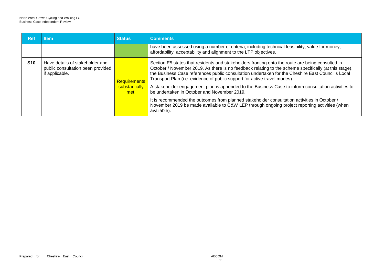| <b>Ref</b> | <b>Item</b>                                                                            | <b>Status</b>                                | <b>Comments</b>                                                                                                                                                                                                                                                                                                                                                                             |
|------------|----------------------------------------------------------------------------------------|----------------------------------------------|---------------------------------------------------------------------------------------------------------------------------------------------------------------------------------------------------------------------------------------------------------------------------------------------------------------------------------------------------------------------------------------------|
|            |                                                                                        |                                              | have been assessed using a number of criteria, including technical feasibility, value for money,<br>affordability, acceptability and alignment to the LTP objectives.                                                                                                                                                                                                                       |
| <b>S10</b> | Have details of stakeholder and<br>public consultation been provided<br>if applicable. | <b>Requirements</b><br>substantially<br>met. | Section E5 states that residents and stakeholders fronting onto the route are being consulted in<br>October / November 2019. As there is no feedback relating to the scheme specifically (at this stage),<br>the Business Case references public consultation undertaken for the Cheshire East Council's Local<br>Transport Plan (i.e. evidence of public support for active travel modes). |
|            |                                                                                        |                                              | A stakeholder engagement plan is appended to the Business Case to inform consultation activities to<br>be undertaken in October and November 2019.                                                                                                                                                                                                                                          |
|            |                                                                                        |                                              | It is recommended the outcomes from planned stakeholder consultation activities in October /<br>November 2019 be made available to C&W LEP through ongoing project reporting activities (when<br>available).                                                                                                                                                                                |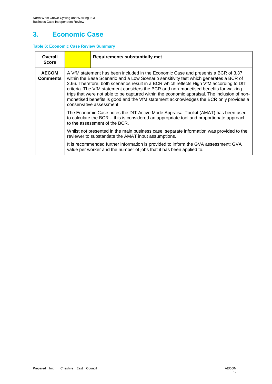# **3. Economic Case**

### **Table 6: Economic Case Review Summary**

| Overall<br><b>Score</b>         |                                                                                                                                                                                                                                                                                                                                                                                                                                                                                                                                                                                     | <b>Requirements substantially met</b>                                                                                                                                                                           |  |  |  |
|---------------------------------|-------------------------------------------------------------------------------------------------------------------------------------------------------------------------------------------------------------------------------------------------------------------------------------------------------------------------------------------------------------------------------------------------------------------------------------------------------------------------------------------------------------------------------------------------------------------------------------|-----------------------------------------------------------------------------------------------------------------------------------------------------------------------------------------------------------------|--|--|--|
| <b>AECOM</b><br><b>Comments</b> | A VfM statement has been included in the Economic Case and presents a BCR of 3.37<br>within the Base Scenario and a Low Scenario sensitivity test which generates a BCR of<br>2.66. Therefore, both scenarios result in a BCR which reflects High VfM according to DfT<br>criteria. The VfM statement considers the BCR and non-monetised benefits for walking<br>trips that were not able to be captured within the economic appraisal. The inclusion of non-<br>monetised benefits is good and the VfM statement acknowledges the BCR only provides a<br>conservative assessment. |                                                                                                                                                                                                                 |  |  |  |
|                                 |                                                                                                                                                                                                                                                                                                                                                                                                                                                                                                                                                                                     | The Economic Case notes the DfT Active Mode Appraisal Toolkit (AMAT) has been used<br>to calculate the BCR – this is considered an appropriate tool and proportionate approach<br>to the assessment of the BCR. |  |  |  |
|                                 |                                                                                                                                                                                                                                                                                                                                                                                                                                                                                                                                                                                     | Whilst not presented in the main business case, separate information was provided to the<br>reviewer to substantiate the AMAT input assumptions.                                                                |  |  |  |
|                                 |                                                                                                                                                                                                                                                                                                                                                                                                                                                                                                                                                                                     | It is recommended further information is provided to inform the GVA assessment: GVA<br>value per worker and the number of jobs that it has been applied to.                                                     |  |  |  |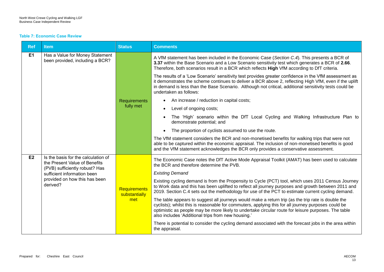#### **Table 7: Economic Case Review**

| <b>Ref</b> | <b>Item</b>                                                                                            | <b>Status</b>                 | <b>Comments</b>                                                                                                                                                                                                                                                                                                                                                        |  |
|------------|--------------------------------------------------------------------------------------------------------|-------------------------------|------------------------------------------------------------------------------------------------------------------------------------------------------------------------------------------------------------------------------------------------------------------------------------------------------------------------------------------------------------------------|--|
| E1         | Has a Value for Money Statement<br>been provided, including a BCR?                                     |                               | A VfM statement has been included in the Economic Case (Section C.4). This presents a BCR of<br>3.37 within the Base Scenario and a Low Scenario sensitivity test which generates a BCR of 2.66.<br>Therefore, both scenarios result in a BCR which reflects High VfM according to DfT criteria.                                                                       |  |
|            |                                                                                                        |                               | The results of a 'Low Scenario' sensitivity test provides greater confidence in the VfM assessment as<br>it demonstrates the scheme continues to deliver a BCR above 2, reflecting High VfM, even if the uplift<br>in demand is less than the Base Scenario. Although not critical, additional sensitivity tests could be<br>undertaken as follows:                    |  |
|            |                                                                                                        | <b>Requirements</b>           | An increase / reduction in capital costs;                                                                                                                                                                                                                                                                                                                              |  |
|            |                                                                                                        | fully met                     | Level of ongoing costs;                                                                                                                                                                                                                                                                                                                                                |  |
|            |                                                                                                        |                               | The 'High' scenario within the DfT Local Cycling and Walking Infrastructure Plan to<br>demonstrate potential; and                                                                                                                                                                                                                                                      |  |
|            |                                                                                                        |                               | The proportion of cyclists assumed to use the route.<br>$\bullet$                                                                                                                                                                                                                                                                                                      |  |
|            |                                                                                                        |                               | The VfM statement considers the BCR and non-monetised benefits for walking trips that were not<br>able to be captured within the economic appraisal. The inclusion of non-monetised benefits is good<br>and the VfM statement acknowledges the BCR only provides a conservative assessment.                                                                            |  |
| E2         | Is the basis for the calculation of<br>the Present Value of Benefits<br>(PVB) sufficiently robust? Has |                               | The Economic Case notes the DfT Active Mode Appraisal Toolkit (AMAT) has been used to calculate<br>the BCR and therefore determine the PVB.                                                                                                                                                                                                                            |  |
|            | sufficient information been                                                                            | Requirements<br>substantially | <b>Existing Demand</b>                                                                                                                                                                                                                                                                                                                                                 |  |
|            | provided on how this has been<br>derived?                                                              |                               | Existing cycling demand is from the Propensity to Cycle (PCT) tool, which uses 2011 Census Journey<br>to Work data and this has been uplifted to reflect all journey purposes and growth between 2011 and<br>2019. Section C.4 sets out the methodology for use of the PCT to estimate current cycling demand.                                                         |  |
|            |                                                                                                        | met                           | The table appears to suggest all journeys would make a return trip (as the trip rate is double the<br>cyclists); whilst this is reasonable for commuters, applying this for all journey purposes could be<br>optimistic as people may be more likely to undertake circular route for leisure purposes. The table<br>also includes 'Additional trips from new housing.' |  |
|            |                                                                                                        |                               | There is potential to consider the cycling demand associated with the forecast jobs in the area within<br>the appraisal.                                                                                                                                                                                                                                               |  |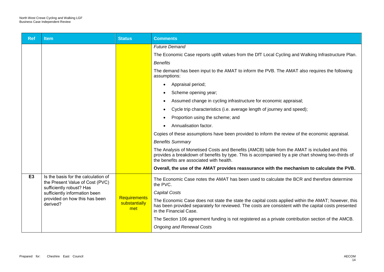| <b>Ref</b>     | <b>Item</b>                                                                                        | <b>Status</b>                               | <b>Comments</b>                                                                                                                                                                                                                                |
|----------------|----------------------------------------------------------------------------------------------------|---------------------------------------------|------------------------------------------------------------------------------------------------------------------------------------------------------------------------------------------------------------------------------------------------|
|                |                                                                                                    |                                             | <b>Future Demand</b>                                                                                                                                                                                                                           |
|                |                                                                                                    |                                             | The Economic Case reports uplift values from the DfT Local Cycling and Walking Infrastructure Plan.                                                                                                                                            |
|                |                                                                                                    |                                             | <b>Benefits</b>                                                                                                                                                                                                                                |
|                |                                                                                                    |                                             | The demand has been input to the AMAT to inform the PVB. The AMAT also requires the following<br>assumptions:                                                                                                                                  |
|                |                                                                                                    |                                             | Appraisal period;<br>$\bullet$                                                                                                                                                                                                                 |
|                |                                                                                                    |                                             | Scheme opening year;                                                                                                                                                                                                                           |
|                |                                                                                                    |                                             | Assumed change in cycling infrastructure for economic appraisal;                                                                                                                                                                               |
|                |                                                                                                    |                                             | Cycle trip characteristics (i.e. average length of journey and speed);<br>$\bullet$                                                                                                                                                            |
|                |                                                                                                    |                                             | Proportion using the scheme; and                                                                                                                                                                                                               |
|                |                                                                                                    |                                             | Annualisation factor.                                                                                                                                                                                                                          |
|                |                                                                                                    |                                             | Copies of these assumptions have been provided to inform the review of the economic appraisal.                                                                                                                                                 |
|                |                                                                                                    |                                             | <b>Benefits Summary</b>                                                                                                                                                                                                                        |
|                |                                                                                                    |                                             | The Analysis of Monetised Costs and Benefits (AMCB) table from the AMAT is included and this<br>provides a breakdown of benefits by type. This is accompanied by a pie chart showing two-thirds of<br>the benefits are associated with health. |
|                |                                                                                                    |                                             | Overall, the use of the AMAT provides reassurance with the mechanism to calculate the PVB.                                                                                                                                                     |
| E <sub>3</sub> | Is the basis for the calculation of<br>the Present Value of Cost (PVC)<br>sufficiently robust? Has |                                             | The Economic Case notes the AMAT has been used to calculate the BCR and therefore determine<br>the PVC.                                                                                                                                        |
|                | sufficiently information been<br>provided on how this has been<br>derived?                         | <b>Requirements</b><br>substantially<br>met | <b>Capital Costs</b>                                                                                                                                                                                                                           |
|                |                                                                                                    |                                             | The Economic Case does not state the state the capital costs applied within the AMAT; however, this<br>has been provided separately for reviewed. The costs are consistent with the capital costs presented<br>in the Financial Case.          |
|                |                                                                                                    |                                             | The Section 106 agreement funding is not registered as a private contribution section of the AMCB.                                                                                                                                             |
|                |                                                                                                    |                                             | <b>Ongoing and Renewal Costs</b>                                                                                                                                                                                                               |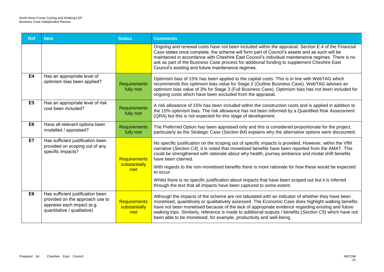| <b>Ref</b>     | <b>Item</b>                                                                                                                       | <b>Status</b>                        | <b>Comments</b>                                                                                                                                                                                                                                                                                                                                                                                                                                                                                                                                                                                                                          |
|----------------|-----------------------------------------------------------------------------------------------------------------------------------|--------------------------------------|------------------------------------------------------------------------------------------------------------------------------------------------------------------------------------------------------------------------------------------------------------------------------------------------------------------------------------------------------------------------------------------------------------------------------------------------------------------------------------------------------------------------------------------------------------------------------------------------------------------------------------------|
|                |                                                                                                                                   |                                      | Ongoing and renewal costs have not been included within the appraisal. Section E.4 of the Financial<br>Case states once complete, the scheme will form part of Council's assets and as such will be<br>maintained in accordance with Cheshire East Council's individual maintenance regimes. There is no<br>ask as part of the Business Case process for additional funding to supplement Cheshire East<br>Council's existing and future maintenance regimes.                                                                                                                                                                            |
| <b>E4</b>      | Has an appropriate level of<br>optimism bias been applied?                                                                        | <b>Requirements</b><br>fully met     | Optimism bias of 15% has been applied to the capital costs. This is in line with WebTAG which<br>recommends this optimism bias value for Stage 2 (Outline Business Case). WebTAG advises an<br>optimism bias value of 3% for Stage 3 (Full Business Case). Optimism bias has not been included for<br>ongoing costs which have been excluded from the appraisal.                                                                                                                                                                                                                                                                         |
| E <sub>5</sub> | Has an appropriate level of risk<br>cost been included?                                                                           | <b>Requirements</b><br>fully met     | A risk allowance of 15% has been included within the construction costs and is applied in addition to<br>the 15% optimism bias. The risk allowance has not been informed by a Quantified Risk Assessment<br>(QRA) but this is not expected for this stage of development.                                                                                                                                                                                                                                                                                                                                                                |
| E <sub>6</sub> | Have all relevant options been<br>modelled / appraised?                                                                           | <b>Requirements</b><br>fully met     | The Preferred Option has been appraised only and this is considered proportionate for the project,<br>particularly as the Strategic Case (Section B4) explains why the alternative options were discounted.                                                                                                                                                                                                                                                                                                                                                                                                                              |
| E7             | Has sufficient justification been<br>provided on scoping out of any<br>specific impacts?                                          | Requirements<br>substantially<br>met | No specific justification on the scoping out of specific impacts is provided. However, within the VfM<br>narrative (Section C4), it is noted that monetised benefits have been reported from the AMAT. This<br>could be strengthened with rationale about why health, journey ambience and modal shift benefits<br>have been claimed.<br>With regards to the non-monetised benefits there is more rationale for how these would be expected<br>to occur.<br>Whilst there is no specific justification about impacts that have been scoped out but it is inferred<br>through the text that all impacts have been captured to some extent. |
| E <sub>8</sub> | Has sufficient justification been<br>provided on the approach use to<br>appraise each impact (e.g.<br>quantitative / qualitative) | Requirements<br>substantially<br>met | Although the impacts of the scheme are not tabulated with an indicator of whether they have been<br>monetised, quantitively or qualitatively assessed. The Economic Case does highlight walking benefits<br>have not been monetised because of the lack of appropriate evidence regarding existing and future<br>walking trips. Similarly, reference is made to additional outputs / benefits (Section C5) which have not<br>been able to be monetised, for example, productivity and well-being.                                                                                                                                        |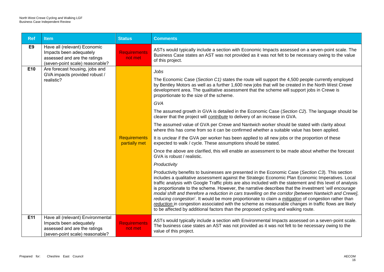| <b>Ref</b>     | <b>Item</b>                                                                                                                     | <b>Status</b>                        | <b>Comments</b>                                                                                                                                                                                                                                                                                                                                                                                                                                                                                                                                                                                                                                                                                                                                                                                                                                                                                                                                                                                                                                                                                                                                                                                                                                                                                                                                                                                                                                                                                                                                                                                                                                                                                                                                                                                                                                                                                                                    |
|----------------|---------------------------------------------------------------------------------------------------------------------------------|--------------------------------------|------------------------------------------------------------------------------------------------------------------------------------------------------------------------------------------------------------------------------------------------------------------------------------------------------------------------------------------------------------------------------------------------------------------------------------------------------------------------------------------------------------------------------------------------------------------------------------------------------------------------------------------------------------------------------------------------------------------------------------------------------------------------------------------------------------------------------------------------------------------------------------------------------------------------------------------------------------------------------------------------------------------------------------------------------------------------------------------------------------------------------------------------------------------------------------------------------------------------------------------------------------------------------------------------------------------------------------------------------------------------------------------------------------------------------------------------------------------------------------------------------------------------------------------------------------------------------------------------------------------------------------------------------------------------------------------------------------------------------------------------------------------------------------------------------------------------------------------------------------------------------------------------------------------------------------|
| E <sub>9</sub> | Have all (relevant) Economic<br>Impacts been adequately<br>assessed and are the ratings<br>(seven-point scale) reasonable?      | <b>Requirements</b><br>not met       | ASTs would typically include a section with Economic Impacts assessed on a seven-point scale. The<br>Business Case states an AST was not provided as it was not felt to be necessary owing to the value<br>of this project.                                                                                                                                                                                                                                                                                                                                                                                                                                                                                                                                                                                                                                                                                                                                                                                                                                                                                                                                                                                                                                                                                                                                                                                                                                                                                                                                                                                                                                                                                                                                                                                                                                                                                                        |
| E10            | Are forecast housing, jobs and<br>GVA impacts provided robust /<br>realistic?                                                   | <b>Requirements</b><br>partially met | Jobs<br>The Economic Case (Section C1) states the route will support the 4,500 people currently employed<br>by Bentley Motors as well as a further 1,600 new jobs that will be created in the North West Crewe<br>development area. The qualitative assessment that the scheme will support jobs in Crewe is<br>proportionate to the size of the scheme.<br>GVA<br>The assumed growth in GVA is detailed in the Economic Case (Section C2). The language should be<br>clearer that the project will <i>contribute</i> to delivery of an increase in GVA.<br>The assumed value of GVA per Crewe and Nantwich worker should be stated with clarity about<br>where this has come from so it can be confirmed whether a suitable value has been applied.<br>It is unclear if the GVA per worker has been applied to all new jobs or the proportion of these<br>expected to walk / cycle. These assumptions should be stated.<br>Once the above are clarified, this will enable an assessment to be made about whether the forecast<br>GVA is robust / realistic.<br>Productivity<br>Productivity benefits to businesses are presented in the Economic Case (Section C3). This section<br>includes a qualitative assessment against the Strategic Economic Plan Economic Imperatives. Local<br>traffic analysis with Google Traffic plots are also included with the statement and this level of analysis<br>is proportionate to the scheme. However, the narrative describes that the investment 'will encourage<br>modal shift and therefore a reduction in cars travelling on the corridor [between Nantwich and Crewe],<br>reducing congestion'. It would be more proportionate to claim a <i>mitigation</i> of congestion rather than<br>reduction in congestion associated with the scheme as measurable changes in traffic flows are likely<br>to be affected by additional factors than the proposed cycling and walking route. |
| E11            | Have all (relevant) Environmental<br>Impacts been adequately<br>assessed and are the ratings<br>(seven-point scale) reasonable? | <b>Requirements</b><br>not met       | ASTs would typically include a section with Environmental Impacts assessed on a seven-point scale.<br>The business case states an AST was not provided as it was not felt to be necessary owing to the<br>value of this project.                                                                                                                                                                                                                                                                                                                                                                                                                                                                                                                                                                                                                                                                                                                                                                                                                                                                                                                                                                                                                                                                                                                                                                                                                                                                                                                                                                                                                                                                                                                                                                                                                                                                                                   |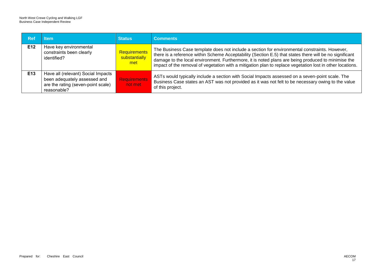| <b>Ref</b> | <b>Item</b>                                                                                                             | <b>Status</b>                               | <b>Comments</b>                                                                                                                                                                                                                                                                                                                                                                                                             |
|------------|-------------------------------------------------------------------------------------------------------------------------|---------------------------------------------|-----------------------------------------------------------------------------------------------------------------------------------------------------------------------------------------------------------------------------------------------------------------------------------------------------------------------------------------------------------------------------------------------------------------------------|
| E12        | Have key environmental<br>constraints been clearly<br>identified?                                                       | <b>Requirements</b><br>substantially<br>met | The Business Case template does not include a section for environmental constraints. However,<br>there is a reference within Scheme Acceptability (Section E.5) that states there will be no significant<br>damage to the local environment. Furthermore, it is noted plans are being produced to minimise the<br>impact of the removal of vegetation with a mitigation plan to replace vegetation lost in other locations. |
| E13        | Have all (relevant) Social Impacts<br>been adequately assessed and<br>are the rating (seven-point scale)<br>reasonable? | Requirements<br>not met                     | ASTs would typically include a section with Social Impacts assessed on a seven-point scale. The<br>Business Case states an AST was not provided as it was not felt to be necessary owing to the value<br>of this project.                                                                                                                                                                                                   |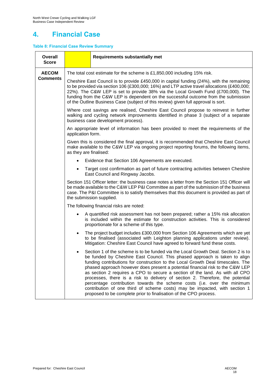# **4. Financial Case**

### **Table 8: Financial Case Review Summary**

| <b>Overall</b><br><b>Score</b> | <b>Requirements substantially met</b>                                                                                                                                                                                                                                                                                                                                                                                                                                                                                                                                                                                                                                                                                                     |
|--------------------------------|-------------------------------------------------------------------------------------------------------------------------------------------------------------------------------------------------------------------------------------------------------------------------------------------------------------------------------------------------------------------------------------------------------------------------------------------------------------------------------------------------------------------------------------------------------------------------------------------------------------------------------------------------------------------------------------------------------------------------------------------|
| <b>AECOM</b>                   | The total cost estimate for the scheme is $£1,850,000$ including 15% risk.                                                                                                                                                                                                                                                                                                                                                                                                                                                                                                                                                                                                                                                                |
| <b>Comments</b>                | Cheshire East Council is to provide £450,000 in capital funding (24%), with the remaining<br>to be provided via section 106 (£300,000; 16%) and LTP active travel allocations (£400,000;<br>22%). The C&W LEP is set to provide 38% via the Local Growth Fund (£700,000). The<br>funding from the C&W LEP is dependent on the successful outcome from the submission<br>of the Outline Business Case (subject of this review) given full approval is sort.                                                                                                                                                                                                                                                                                |
|                                | Where cost savings are realised, Cheshire East Council propose to reinvest in further<br>walking and cycling network improvements identified in phase 3 (subject of a separate<br>business case development process).                                                                                                                                                                                                                                                                                                                                                                                                                                                                                                                     |
|                                | An appropriate level of information has been provided to meet the requirements of the<br>application form.                                                                                                                                                                                                                                                                                                                                                                                                                                                                                                                                                                                                                                |
|                                | Given this is considered the final approval, it is recommended that Cheshire East Council<br>make available to the C&W LEP via ongoing project reporting forums, the following items,<br>as they are finalised:                                                                                                                                                                                                                                                                                                                                                                                                                                                                                                                           |
|                                | Evidence that Section 106 Agreements are executed.<br>$\bullet$                                                                                                                                                                                                                                                                                                                                                                                                                                                                                                                                                                                                                                                                           |
|                                | Target cost confirmation as part of future contracting activities between Cheshire<br>$\bullet$<br>East Council and Ringway Jacobs.                                                                                                                                                                                                                                                                                                                                                                                                                                                                                                                                                                                                       |
|                                | Section 151 Officer letter: the business case notes a letter from the Section 151 Officer will<br>be made available to the C&W LEP P&I Committee as part of the submission of the business<br>case. The P&I Committee is to satisfy themselves that this document is provided as part of<br>the submission supplied.                                                                                                                                                                                                                                                                                                                                                                                                                      |
|                                | The following financial risks are noted:                                                                                                                                                                                                                                                                                                                                                                                                                                                                                                                                                                                                                                                                                                  |
|                                | A quantified risk assessment has not been prepared; rather a 15% risk allocation<br>$\bullet$<br>is included within the estimate for construction activities. This is considered<br>proportionate for a scheme of this type.                                                                                                                                                                                                                                                                                                                                                                                                                                                                                                              |
|                                | The project budget includes £300,000 from Section 106 Agreements which are yet<br>$\bullet$<br>to be finalised (associated with Leighton planning applications under review).<br>Mitigation: Cheshire East Council have agreed to forward fund these costs.                                                                                                                                                                                                                                                                                                                                                                                                                                                                               |
|                                | Section 1 of the scheme is to be funded via the Local Growth Deal. Section 2 is to<br>٠<br>be funded by Cheshire East Council. This phased approach is taken to align<br>funding contributions for construction to the Local Growth Deal timescales. The<br>phased approach however does present a potential financial risk to the C&W LEP<br>as section 2 requires a CPO to secure a section of the land. As with all CPO<br>processes, there is a risk to delivery of section 2. Therefore, the potential<br>percentage contribution towards the scheme costs (i.e. over the minimum<br>contribution of one third of scheme costs) may be impacted, with section 1<br>proposed to be complete prior to finalisation of the CPO process. |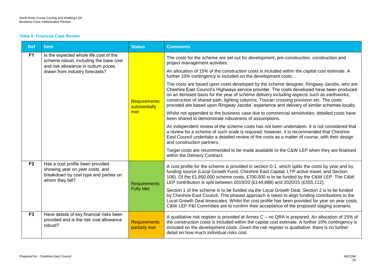#### **Table 9: Financial Case Review**

| <b>Ref</b>     | <b>Item</b>                                                                                                                     | <b>Status</b>                        | <b>Comments</b>                                                                                                                                                                                                                                                                                                                                                                                                                                                               |
|----------------|---------------------------------------------------------------------------------------------------------------------------------|--------------------------------------|-------------------------------------------------------------------------------------------------------------------------------------------------------------------------------------------------------------------------------------------------------------------------------------------------------------------------------------------------------------------------------------------------------------------------------------------------------------------------------|
| F <sub>1</sub> | Is the expected whole life cost of the<br>scheme robust, including the base cost                                                |                                      | The costs for the scheme are set out for development, pre-construction, construction and<br>project management activities.                                                                                                                                                                                                                                                                                                                                                    |
|                | and risk allowance in outturn prices<br>drawn from industry forecasts?                                                          |                                      | An allocation of 15% of the construction costs is included within the capital cost estimate. A<br>further 10% contingency is included on the development costs.                                                                                                                                                                                                                                                                                                               |
|                |                                                                                                                                 | Requirements<br>substantially        | The costs are based upon costs developed by the scheme designer, Ringway Jacobs, who are<br>Cheshire East Council's Highways service provider. The costs developed have been produced<br>on an itemised basis for the year of scheme delivery including aspects such as earthworks,<br>construction of shared path, lighting columns, Toucan crossing provision etc. The costs<br>provided are based upon Ringway Jacobs' experience and delivery of similar schemes locally. |
|                |                                                                                                                                 | met                                  | Whilst not appended to the business case due to commercial sensitivities, detailed costs have<br>been shared to demonstrate robustness of assumptions.                                                                                                                                                                                                                                                                                                                        |
|                |                                                                                                                                 |                                      | An independent review of the scheme costs has not been undertaken. It is not considered that<br>a review for a scheme of such scale is required; however, it is recommended that Cheshire<br>East Council undertake a detailed review of the costs as a matter of course, with their design<br>and construction partners.                                                                                                                                                     |
|                |                                                                                                                                 |                                      | Target costs are recommended to be made available to the C&W LEP when they are finalised<br>within the Delivery Contract.                                                                                                                                                                                                                                                                                                                                                     |
| F <sub>2</sub> | Has a cost profile been provided<br>showing year on year costs, and<br>breakdown by cost type and parties on<br>whom they fall? | <b>Requirements</b>                  | A cost profile for the scheme is provided in section D.1, which splits the costs by year and by<br>funding source (Local Growth Fund, Cheshire East Capital, LTP active travel, and Section<br>106). Of the £1,850,000 scheme costs, £700,000 is to be funded by the C&W LEP. The C&W<br>LEP contribution is split between 2019/20 (£144,888) and 2020/21 (£555,112).                                                                                                         |
|                |                                                                                                                                 | <b>Fully Met</b>                     | Section 1 of the scheme is to be funded via the Local Growth Deal. Section 2 is to be funded<br>by Cheshire East Council. This phased approach is taken to align funding contributions to the<br>Local Growth Deal timescales. Whilst the cost profile has been provided for year on year costs,<br>C&W LEP P&I Committee are to confirm their acceptance of the proposed staging scenario.                                                                                   |
| F <sub>3</sub> | Have details of key financial risks been<br>provided and is the risk cost allowance<br>robust?                                  | <b>Requirements</b><br>partially met | A qualitative risk register is provided at Annex C – no QRA is prepared. An allocation of 15% of<br>the construction costs is included within the capital cost estimate. A further 10% contingency is<br>included on the development costs. Given the risk register is qualitative, there is no further<br>detail on how much individual risks cost.                                                                                                                          |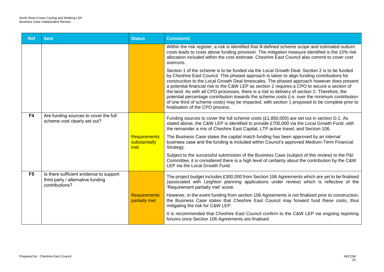| <b>Ref</b>     | <b>Item</b>                                                                                    | <b>Status</b>                        | <b>Comments</b>                                                                                                                                                                                                                                                                                                                                                                                                                                                                                                                                                                                                                                                                                                                   |
|----------------|------------------------------------------------------------------------------------------------|--------------------------------------|-----------------------------------------------------------------------------------------------------------------------------------------------------------------------------------------------------------------------------------------------------------------------------------------------------------------------------------------------------------------------------------------------------------------------------------------------------------------------------------------------------------------------------------------------------------------------------------------------------------------------------------------------------------------------------------------------------------------------------------|
|                |                                                                                                |                                      | Within the risk register, a risk is identified that ill-defined scheme scope and estimated outturn<br>costs leads to costs above funding provision. The mitigation measure identified is the 15% risk<br>allocation included within the cost estimate. Cheshire East Council also commit to cover cost<br>overruns.                                                                                                                                                                                                                                                                                                                                                                                                               |
|                |                                                                                                |                                      | Section 1 of the scheme is to be funded via the Local Growth Deal. Section 2 is to be funded<br>by Cheshire East Council. This phased approach is taken to align funding contributions for<br>construction to the Local Growth Deal timescales. The phased approach however does present<br>a potential financial risk to the C&W LEP as section 2 requires a CPO to secure a section of<br>the land. As with all CPO processes, there is a risk to delivery of section 2. Therefore, the<br>potential percentage contribution towards the scheme costs (i.e. over the minimum contribution<br>of one third of scheme costs) may be impacted, with section 1 proposed to be complete prior to<br>finalisation of the CPO process. |
| F <sub>4</sub> | Are funding sources to cover the full<br>scheme cost clearly set out?                          |                                      | Funding sources to cover the full scheme costs (£1,850,000) are set out in section D.1. As<br>stated above, the C&W LEP is identified to provide £700,000 via the Local Growth Fund, with<br>the remainder a mix of Cheshire East Capital, LTP active travel, and Section 106.                                                                                                                                                                                                                                                                                                                                                                                                                                                    |
|                |                                                                                                | Requirements<br>substantially<br>met | The Business Case states the capital match funding has been approved by an internal<br>business case and the funding is included within Council's approved Medium-Term Financial<br>Strategy.                                                                                                                                                                                                                                                                                                                                                                                                                                                                                                                                     |
|                |                                                                                                |                                      | Subject to the successful submission of the Business Case (subject of this review) to the P&I<br>Committee, it is considered there is a high level of certainty about the contribution by the C&W<br>LEP via the Local Growth Fund.                                                                                                                                                                                                                                                                                                                                                                                                                                                                                               |
| F <sub>5</sub> | Is there sufficient evidence to support<br>third party / alternative funding<br>contributions? |                                      | The project budget includes £300,000 from Section 106 Agreements which are yet to be finalised<br>(associated with Leighton planning applications under review) which is reflective of the<br>'Requirement partially met' score.                                                                                                                                                                                                                                                                                                                                                                                                                                                                                                  |
|                |                                                                                                | <b>Requirements</b><br>partially met | However, in the event funding from section 106 Agreements is not finalised prior to construction,<br>the Business Case states that Cheshire East Council may forward fund these costs, thus<br>mitigating the risk for C&W LEP.                                                                                                                                                                                                                                                                                                                                                                                                                                                                                                   |
|                |                                                                                                |                                      | It is recommended that Cheshire East Council confirm to the C&W LEP via ongoing reporting<br>forums once Section 106 Agreements are finalised.                                                                                                                                                                                                                                                                                                                                                                                                                                                                                                                                                                                    |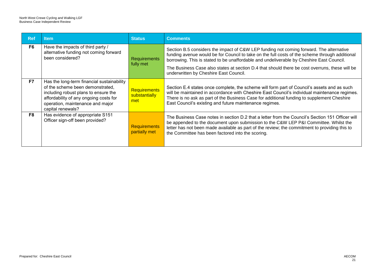| Ref            | <b>Item</b>                                                                                                                                                                                                               | <b>Status</b>                               | <b>Comments</b>                                                                                                                                                                                                                                                                                                                                                                                                                   |
|----------------|---------------------------------------------------------------------------------------------------------------------------------------------------------------------------------------------------------------------------|---------------------------------------------|-----------------------------------------------------------------------------------------------------------------------------------------------------------------------------------------------------------------------------------------------------------------------------------------------------------------------------------------------------------------------------------------------------------------------------------|
| F <sub>6</sub> | Have the impacts of third party /<br>alternative funding not coming forward<br>been considered?                                                                                                                           | <b>Requirements</b><br>fully met            | Section B.5 considers the impact of C&W LEP funding not coming forward. The alternative<br>funding avenue would be for Council to take on the full costs of the scheme through additional<br>borrowing. This is stated to be unaffordable and undeliverable by Cheshire East Council.<br>The Business Case also states at section D.4 that should there be cost overruns, these will be<br>underwritten by Cheshire East Council. |
| F7             | Has the long-term financial sustainability<br>of the scheme been demonstrated,<br>including robust plans to ensure the<br>affordability of any ongoing costs for<br>operation, maintenance and major<br>capital renewals? | <b>Requirements</b><br>substantially<br>met | Section E.4 states once complete, the scheme will form part of Council's assets and as such<br>will be maintained in accordance with Cheshire East Council's individual maintenance regimes.<br>There is no ask as part of the Business Case for additional funding to supplement Cheshire<br>East Council's existing and future maintenance regimes.                                                                             |
| F <sub>8</sub> | Has evidence of appropriate S151<br>Officer sign-off been provided?                                                                                                                                                       | <b>Requirements</b><br>partially met        | The Business Case notes in section D.2 that a letter from the Council's Section 151 Officer will<br>be appended to the document upon submission to the C&W LEP P&I Committee. Whilst the<br>letter has not been made available as part of the review; the commitment to providing this to<br>the Committee has been factored into the scoring.                                                                                    |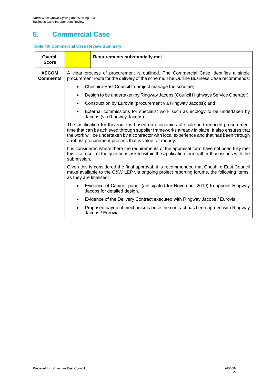# **5. Commercial Case**

### **Table 10: Commercial Case Review Summary**

| Overall<br><b>Score</b>         |                                                                                                                                                                                                                                                                                                                                                 | <b>Requirements substantially met</b>                                                                        |  |  |
|---------------------------------|-------------------------------------------------------------------------------------------------------------------------------------------------------------------------------------------------------------------------------------------------------------------------------------------------------------------------------------------------|--------------------------------------------------------------------------------------------------------------|--|--|
| <b>AECOM</b><br><b>Comments</b> | A clear process of procurement is outlined. The Commercial Case identifies a single<br>procurement route for the delivery of the scheme. The Outline Business Case recommends:                                                                                                                                                                  |                                                                                                              |  |  |
|                                 |                                                                                                                                                                                                                                                                                                                                                 | Cheshire East Council to project manage the scheme;                                                          |  |  |
|                                 |                                                                                                                                                                                                                                                                                                                                                 | Design to be undertaken by Ringway Jacobs (Council Highways Service Operator);                               |  |  |
|                                 |                                                                                                                                                                                                                                                                                                                                                 | Construction by Eurovia (procurement via Ringway Jacobs); and                                                |  |  |
|                                 |                                                                                                                                                                                                                                                                                                                                                 | External commissions for specialist work such as ecology to be undertaken by<br>Jacobs (via Ringway Jacobs). |  |  |
|                                 | The justification for this route is based on economies of scale and reduced procurement<br>time that can be achieved through supplier frameworks already in place. It also ensures that<br>the work will be undertaken by a contractor with local experience and that has been through<br>a robust procurement process that is value for money. |                                                                                                              |  |  |
|                                 | It is considered where there the requirements of the appraisal form have not been fully met<br>this is a result of the questions asked within the application form rather than issues with the<br>submission.                                                                                                                                   |                                                                                                              |  |  |
|                                 | Given this is considered the final approval, it is recommended that Cheshire East Council<br>make available to the C&W LEP via ongoing project reporting forums, the following items,<br>as they are finalised:                                                                                                                                 |                                                                                                              |  |  |
|                                 | Evidence of Cabinet paper (anticipated for November 2019) to appoint Ringway<br>Jacobs for detailed design.                                                                                                                                                                                                                                     |                                                                                                              |  |  |
|                                 | Evidence of the Delivery Contract executed with Ringway Jacobs / Eurovia.                                                                                                                                                                                                                                                                       |                                                                                                              |  |  |
|                                 | Proposed payment mechanisms once the contract has been agreed with Ringway<br>Jacobs / Eurovia.                                                                                                                                                                                                                                                 |                                                                                                              |  |  |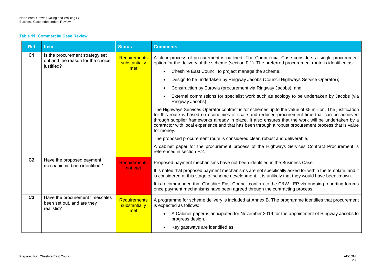#### **Table 11: Commercial Case Review**

| <b>Ref</b>     | <b>Item</b>                                                                        | <b>Status</b>                        | <b>Comments</b>                                                                                                                                                                                                                                                                                                                                                                                                                          |
|----------------|------------------------------------------------------------------------------------|--------------------------------------|------------------------------------------------------------------------------------------------------------------------------------------------------------------------------------------------------------------------------------------------------------------------------------------------------------------------------------------------------------------------------------------------------------------------------------------|
| C <sub>1</sub> | Is the procurement strategy set<br>out and the reason for the choice<br>justified? | Requirements<br>substantially        | A clear process of procurement is outlined. The Commercial Case considers a single procurement<br>option for the delivery of the scheme (section F.1). The preferred procurement route is identified as:                                                                                                                                                                                                                                 |
|                |                                                                                    | met                                  | Cheshire East Council to project manage the scheme;                                                                                                                                                                                                                                                                                                                                                                                      |
|                |                                                                                    |                                      | Design to be undertaken by Ringway Jacobs (Council Highways Service Operator);<br>$\bullet$                                                                                                                                                                                                                                                                                                                                              |
|                |                                                                                    |                                      | Construction by Eurovia (procurement via Ringway Jacobs); and<br>$\bullet$                                                                                                                                                                                                                                                                                                                                                               |
|                |                                                                                    |                                      | External commissions for specialist work such as ecology to be undertaken by Jacobs (via<br>Ringway Jacobs).                                                                                                                                                                                                                                                                                                                             |
|                |                                                                                    |                                      | The Highways Services Operator contract is for schemes up to the value of £5 million. The justification<br>for this route is based on economies of scale and reduced procurement time that can be achieved<br>through supplier frameworks already in place. It also ensures that the work will be undertaken by a<br>contractor with local experience and that has been through a robust procurement process that is value<br>for money. |
|                |                                                                                    |                                      | The proposed procurement route is considered clear, robust and deliverable.                                                                                                                                                                                                                                                                                                                                                              |
|                |                                                                                    |                                      | A cabinet paper for the procurement process of the Highways Services Contract Procurement is<br>referenced in section F.2.                                                                                                                                                                                                                                                                                                               |
| C <sub>2</sub> | Have the proposed payment<br>mechanisms been identified?                           | <b>Requirements</b>                  | Proposed payment mechanisms have not been identified in the Business Case.                                                                                                                                                                                                                                                                                                                                                               |
|                |                                                                                    | not met                              | It is noted that proposed payment mechanisms are not specifically asked for within the template, and it<br>is considered at this stage of scheme development, it is unlikely that they would have been known.                                                                                                                                                                                                                            |
|                |                                                                                    |                                      | It is recommended that Cheshire East Council confirm to the C&W LEP via ongoing reporting forums<br>once payment mechanisms have been agreed through the contracting process.                                                                                                                                                                                                                                                            |
| C <sub>3</sub> | Have the procurement timescales<br>been set out, and are they<br>realistic?        | <b>Requirements</b><br>substantially | A programme for scheme delivery is included at Annex B. The programme identifies that procurement<br>is expected as follows:                                                                                                                                                                                                                                                                                                             |
|                |                                                                                    | met                                  | A Cabinet paper is anticipated for November 2019 for the appointment of Ringway Jacobs to<br>$\bullet$<br>progress design.                                                                                                                                                                                                                                                                                                               |
|                |                                                                                    |                                      | Key gateways are identified as:                                                                                                                                                                                                                                                                                                                                                                                                          |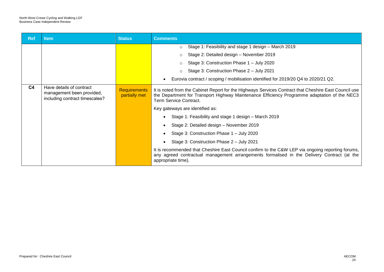| <b>Ref</b>     | <b>Item</b>                                                                             | <b>Status</b>                        | <b>Comments</b>                                                                                                                                                                                                                 |
|----------------|-----------------------------------------------------------------------------------------|--------------------------------------|---------------------------------------------------------------------------------------------------------------------------------------------------------------------------------------------------------------------------------|
|                |                                                                                         |                                      | Stage 1: Feasibility and stage 1 design - March 2019<br>$\circ$                                                                                                                                                                 |
|                |                                                                                         |                                      | Stage 2: Detailed design - November 2019<br>$\circ$                                                                                                                                                                             |
|                |                                                                                         |                                      | Stage 3: Construction Phase 1 - July 2020                                                                                                                                                                                       |
|                |                                                                                         |                                      | Stage 3: Construction Phase 2 - July 2021                                                                                                                                                                                       |
|                |                                                                                         |                                      | Eurovia contract / scoping / mobilisation identified for 2019/20 Q4 to 2020/21 Q2.                                                                                                                                              |
| C <sub>4</sub> | Have details of contract<br>management been provided,<br>including contract timescales? | <b>Requirements</b><br>partially met | It is noted from the Cabinet Report for the Highways Services Contract that Cheshire East Council use<br>the Department for Transport Highway Maintenance Efficiency Programme adaptation of the NEC3<br>Term Service Contract. |
|                |                                                                                         |                                      | Key gateways are identified as:                                                                                                                                                                                                 |
|                |                                                                                         |                                      | Stage 1: Feasibility and stage 1 design - March 2019                                                                                                                                                                            |
|                |                                                                                         |                                      | Stage 2: Detailed design - November 2019                                                                                                                                                                                        |
|                |                                                                                         |                                      | Stage 3: Construction Phase 1 - July 2020                                                                                                                                                                                       |
|                |                                                                                         |                                      | Stage 3: Construction Phase 2 - July 2021                                                                                                                                                                                       |
|                |                                                                                         |                                      | It is recommended that Cheshire East Council confirm to the C&W LEP via ongoing reporting forums,<br>any agreed contractual management arrangements formalised in the Delivery Contract (at the<br>appropriate time).           |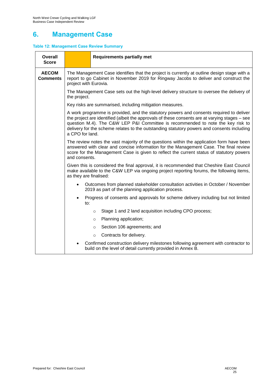# **6. Management Case**

### **Table 12: Management Case Review Summary**

| <b>Overall</b><br><b>Score</b>  | <b>Requirements partially met</b>                                                                                                                                                                                                                                                                                                                                                             |  |  |  |
|---------------------------------|-----------------------------------------------------------------------------------------------------------------------------------------------------------------------------------------------------------------------------------------------------------------------------------------------------------------------------------------------------------------------------------------------|--|--|--|
| <b>AECOM</b><br><b>Comments</b> | The Management Case identifies that the project is currently at outline design stage with a<br>report to go Cabinet in November 2019 for Ringway Jacobs to deliver and construct the<br>project with Eurovia.                                                                                                                                                                                 |  |  |  |
|                                 | The Management Case sets out the high-level delivery structure to oversee the delivery of<br>the project.                                                                                                                                                                                                                                                                                     |  |  |  |
|                                 | Key risks are summarised, including mitigation measures.                                                                                                                                                                                                                                                                                                                                      |  |  |  |
|                                 | A work programme is provided, and the statutory powers and consents required to deliver<br>the project are identified (albeit the approvals of these consents are at varying stages - see<br>question M.4). The C&W LEP P&I Committee is recommended to note the key risk to<br>delivery for the scheme relates to the outstanding statutory powers and consents including<br>a CPO for land. |  |  |  |
|                                 | The review notes the vast majority of the questions within the application form have been<br>answered with clear and concise information for the Management Case. The final review<br>score for the Management Case is given to reflect the current status of statutory powers<br>and consents.                                                                                               |  |  |  |
|                                 | Given this is considered the final approval, it is recommended that Cheshire East Council<br>make available to the C&W LEP via ongoing project reporting forums, the following items,<br>as they are finalised:                                                                                                                                                                               |  |  |  |
|                                 | Outcomes from planned stakeholder consultation activities in October / November<br>2019 as part of the planning application process.                                                                                                                                                                                                                                                          |  |  |  |
|                                 | Progress of consents and approvals for scheme delivery including but not limited<br>to:                                                                                                                                                                                                                                                                                                       |  |  |  |
|                                 | Stage 1 and 2 land acquisition including CPO process;<br>O                                                                                                                                                                                                                                                                                                                                    |  |  |  |
|                                 | Planning application;<br>O                                                                                                                                                                                                                                                                                                                                                                    |  |  |  |
|                                 | Section 106 agreements; and<br>$\circ$                                                                                                                                                                                                                                                                                                                                                        |  |  |  |
|                                 | Contracts for delivery.<br>$\circ$                                                                                                                                                                                                                                                                                                                                                            |  |  |  |
|                                 | Confirmed construction delivery milestones following agreement with contractor to<br>build on the level of detail currently provided in Annex B.                                                                                                                                                                                                                                              |  |  |  |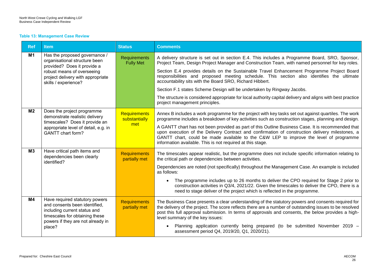#### **Table 13: Management Case Review**

| <b>Ref</b>     | <b>Item</b>                                                                                                                                                                      | <b>Status</b>                           | <b>Comments</b>                                                                                                                                                                                                                                                                                                                                                                                                                                                                                                                                                           |
|----------------|----------------------------------------------------------------------------------------------------------------------------------------------------------------------------------|-----------------------------------------|---------------------------------------------------------------------------------------------------------------------------------------------------------------------------------------------------------------------------------------------------------------------------------------------------------------------------------------------------------------------------------------------------------------------------------------------------------------------------------------------------------------------------------------------------------------------------|
| M1             | Has the proposed governance /<br>organisational structure been<br>provided? Does it provide a<br>robust means of overseeing<br>project delivery with appropriate                 | <b>Requirements</b><br><b>Fully Met</b> | A delivery structure is set out in section E.4. This includes a Programme Board, SRO, Sponsor,<br>Project Team, Design Project Manager and Construction Team, with named personnel for key roles.<br>Section E.4 provides details on the Sustainable Travel Enhancement Programme Project Board<br>responsibilities and proposed meeting schedule. This section also identifies the ultimate                                                                                                                                                                              |
|                | skills / experience?                                                                                                                                                             |                                         | accountability sits with the Board SRO, Richard Hibbert.<br>Section F.1 states Scheme Design will be undertaken by Ringway Jacobs.<br>The structure is considered appropriate for local authority capital delivery and aligns with best practice<br>project management principles.                                                                                                                                                                                                                                                                                        |
| M <sub>2</sub> | Does the project programme<br>demonstrate realistic delivery<br>timescales? Does it provide an<br>appropriate level of detail, e.g. in<br><b>GANTT</b> chart form?               | Requirements<br>substantially<br>met    | Annex B includes a work programme for the project with key tasks set out against quartiles. The work<br>programme includes a breakdown of key activities such as construction stages, planning and design.<br>A GANTT chart has not been provided as part of this Outline Business Case. It is recommended that<br>upon execution of the Delivery Contract and confirmation of construction delivery milestones, a<br>GANTT chart, could be made available to the C&W LEP to improve the level of programme<br>information available. This is not required at this stage. |
| M <sub>3</sub> | Have critical path items and<br>dependencies been clearly<br>identified?                                                                                                         | <b>Requirements</b><br>partially met    | The timescales appear realistic, but the programme does not include specific information relating to<br>the critical path or dependencies between activities.<br>Dependencies are noted (not specifically) throughout the Management Case. An example is included<br>as follows:<br>The programme includes up to 26 months to deliver the CPO required for Stage 2 prior to<br>construction activities in Q3/4, 2021/22. Given the timescales to deliver the CPO, there is a<br>need to stage deliver of the project which is reflected in the programme.                 |
| M4             | Have required statutory powers<br>and consents been identified,<br>including current status and<br>timescales for obtaining these<br>powers if they are not already in<br>place? | <b>Requirements</b><br>partially met    | The Business Case presents a clear understanding of the statutory powers and consents required for<br>the delivery of the project. The score reflects there are a number of outstanding issues to be resolved<br>post this full approval submission. In terms of approvals and consents, the below provides a high-<br>level summary of the key issues:<br>Planning application currently being prepared (to be submitted November 2019 -<br>assessment period Q4, 2019/20, Q1, 2020/21).                                                                                 |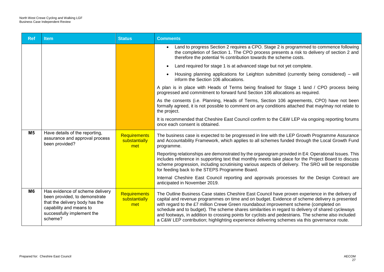| <b>Ref</b>     | <b>Item</b>                                                                                                                                                            | <b>Status</b>                               | <b>Comments</b>                                                                                                                                                                                                                                                                                                                                                                                                                                                                                                                                                                                          |
|----------------|------------------------------------------------------------------------------------------------------------------------------------------------------------------------|---------------------------------------------|----------------------------------------------------------------------------------------------------------------------------------------------------------------------------------------------------------------------------------------------------------------------------------------------------------------------------------------------------------------------------------------------------------------------------------------------------------------------------------------------------------------------------------------------------------------------------------------------------------|
|                |                                                                                                                                                                        |                                             | Land to progress Section 2 requires a CPO. Stage 2 is programmed to commence following<br>the completion of Section 1. The CPO process presents a risk to delivery of section 2 and<br>therefore the potential % contribution towards the scheme costs.                                                                                                                                                                                                                                                                                                                                                  |
|                |                                                                                                                                                                        |                                             | Land required for stage 1 is at advanced stage but not yet complete.                                                                                                                                                                                                                                                                                                                                                                                                                                                                                                                                     |
|                |                                                                                                                                                                        |                                             | Housing planning applications for Leighton submitted (currently being considered) – will<br>inform the Section 106 allocations.                                                                                                                                                                                                                                                                                                                                                                                                                                                                          |
|                |                                                                                                                                                                        |                                             | A plan is in place with Heads of Terms being finalised for Stage 1 land / CPO process being<br>progressed and commitment to forward fund Section 106 allocations as required.                                                                                                                                                                                                                                                                                                                                                                                                                            |
|                |                                                                                                                                                                        |                                             | As the consents (i.e. Planning, Heads of Terms, Section 106 agreements, CPO) have not been<br>formally agreed, it is not possible to comment on any conditions attached that may/may not relate to<br>the project.                                                                                                                                                                                                                                                                                                                                                                                       |
|                |                                                                                                                                                                        |                                             | It is recommended that Cheshire East Council confirm to the C&W LEP via ongoing reporting forums<br>once each consent is obtained.                                                                                                                                                                                                                                                                                                                                                                                                                                                                       |
| M <sub>5</sub> | Have details of the reporting,<br>assurance and approval process<br>been provided?                                                                                     | Requirements<br>substantially<br>met        | The business case is expected to be progressed in line with the LEP Growth Programme Assurance<br>and Accountability Framework, which applies to all schemes funded through the Local Growth Fund<br>programme.                                                                                                                                                                                                                                                                                                                                                                                          |
|                |                                                                                                                                                                        |                                             | Reporting relationships are demonstrated by the organogram provided in E4: Operational Issues. This<br>includes reference in supporting text that monthly meets take place for the Project Board to discuss<br>scheme progression, including scrutinising various aspects of delivery. The SRO will be responsible<br>for feeding back to the STEPS Programme Board.                                                                                                                                                                                                                                     |
|                |                                                                                                                                                                        |                                             | Internal Cheshire East Council reporting and approvals processes for the Design Contract are<br>anticipated in November 2019.                                                                                                                                                                                                                                                                                                                                                                                                                                                                            |
| M <sub>6</sub> | Has evidence of scheme delivery<br>been provided, to demonstrate<br>that the delivery body has the<br>capability and means to<br>successfully implement the<br>scheme? | <b>Requirements</b><br>substantially<br>met | The Outline Business Case states Cheshire East Council have proven experience in the delivery of<br>capital and revenue programmes on time and on budget. Evidence of scheme delivery is presented<br>with regard to the £7 million Crewe Green roundabout improvement scheme (completed on<br>schedule and to budget). The scheme shares similarities in regard to delivery of shared cycleways<br>and footways, in addition to crossing points for cyclists and pedestrians. The scheme also included<br>a C&W LEP contribution; highlighting experience delivering schemes via this governance route. |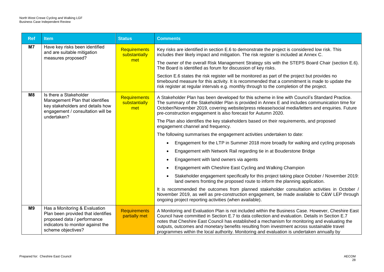| <b>Ref</b>     | <b>Item</b>                                                                                                                                                   | <b>Status</b>                        | <b>Comments</b>                                                                                                                                                                                                                                                                                                                                                                                                                                                                                     |
|----------------|---------------------------------------------------------------------------------------------------------------------------------------------------------------|--------------------------------------|-----------------------------------------------------------------------------------------------------------------------------------------------------------------------------------------------------------------------------------------------------------------------------------------------------------------------------------------------------------------------------------------------------------------------------------------------------------------------------------------------------|
| M7             | Have key risks been identified<br>and are suitable mitigation<br>measures proposed?                                                                           | Requirements<br>substantially<br>met | Key risks are identified in section E.6 to demonstrate the project is considered low risk. This<br>includes their likely impact and mitigation. The risk register is included at Annex C.                                                                                                                                                                                                                                                                                                           |
|                |                                                                                                                                                               |                                      | The owner of the overall Risk Management Strategy sits with the STEPS Board Chair (section E.6).<br>The Board is identified as forum for discussion of key risks.                                                                                                                                                                                                                                                                                                                                   |
|                |                                                                                                                                                               |                                      | Section E.6 states the risk register will be monitored as part of the project but provides no<br>timebound measure for this activity. It is recommended that a commitment is made to update the<br>risk register at regular intervals e.g. monthly through to the completion of the project.                                                                                                                                                                                                        |
| M <sub>8</sub> | Is there a Stakeholder<br>Management Plan that identifies<br>key stakeholders and details how<br>engagement / consultation will be<br>undertaken?             | Requirements<br>substantially<br>met | A Stakeholder Plan has been developed for this scheme in line with Council's Standard Practice.<br>The summary of the Stakeholder Plan is provided in Annex E and includes communication time for<br>October/November 2019, covering website/press release/social media/letters and enquiries. Future<br>pre-construction engagement is also forecast for Autumn 2020.                                                                                                                              |
|                |                                                                                                                                                               |                                      | The Plan also identifies the key stakeholders based on their requirements, and proposed<br>engagement channel and frequency.                                                                                                                                                                                                                                                                                                                                                                        |
|                |                                                                                                                                                               |                                      | The following summarises the engagement activities undertaken to date:                                                                                                                                                                                                                                                                                                                                                                                                                              |
|                |                                                                                                                                                               |                                      | Engagement for the LTP in Summer 2018 more broadly for walking and cycling proposals                                                                                                                                                                                                                                                                                                                                                                                                                |
|                |                                                                                                                                                               |                                      | Engagement with Network Rail regarding tie in at Bouderstone Bridge                                                                                                                                                                                                                                                                                                                                                                                                                                 |
|                |                                                                                                                                                               |                                      | Engagement with land owners via agents                                                                                                                                                                                                                                                                                                                                                                                                                                                              |
|                |                                                                                                                                                               |                                      | Engagement with Cheshire East Cycling and Walking Champion                                                                                                                                                                                                                                                                                                                                                                                                                                          |
|                |                                                                                                                                                               |                                      | Stakeholder engagement specifically for this project taking place October / November 2019:<br>land owners fronting the proposed route to inform the planning application.                                                                                                                                                                                                                                                                                                                           |
|                |                                                                                                                                                               |                                      | It is recommended the outcomes from planned stakeholder consultation activities in October /<br>November 2019, as well as pre-construction engagement, be made available to C&W LEP through<br>ongoing project reporting activities (when available).                                                                                                                                                                                                                                               |
| M9             | Has a Monitoring & Evaluation<br>Plan been provided that identifies<br>proposed data / performance<br>indicators to monitor against the<br>scheme objectives? | <b>Requirements</b><br>partially met | A Monitoring and Evaluation Plan is not included within the Business Case. However, Cheshire East<br>Council have committed in Section E.7 to data collection and evaluation. Details in Section E.7<br>notes that Cheshire East Council has established a mechanism for monitoring and evaluating the<br>outputs, outcomes and monetary benefits resulting from investment across sustainable travel<br>programmes within the local authority. Monitoring and evaluation is undertaken annually by |